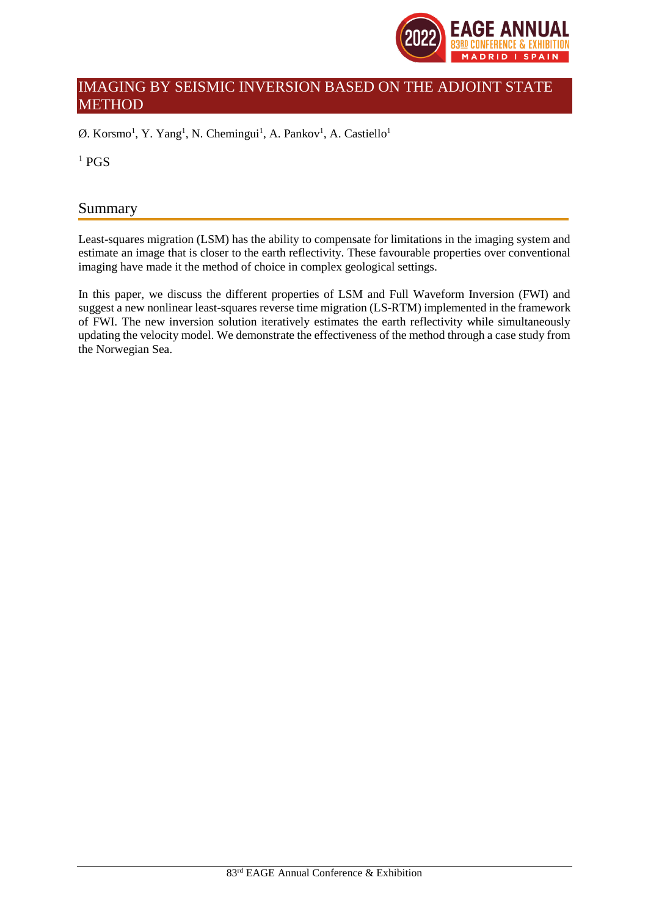

# IMAGING BY SEISMIC INVERSION BASED ON THE ADJOINT STATE **METHOD**

 $\emptyset$ . Korsmo<sup>1</sup>, Y. Yang<sup>1</sup>, N. Chemingui<sup>1</sup>, A. Pankov<sup>1</sup>, A. Castiello<sup>1</sup>

 $1$  PGS

# Summary

Least-squares migration (LSM) has the ability to compensate for limitations in the imaging system and estimate an image that is closer to the earth reflectivity. These favourable properties over conventional imaging have made it the method of choice in complex geological settings.

In this paper, we discuss the different properties of LSM and Full Waveform Inversion (FWI) and suggest a new nonlinear least-squares reverse time migration (LS-RTM) implemented in the framework of FWI. The new inversion solution iteratively estimates the earth reflectivity while simultaneously updating the velocity model. We demonstrate the effectiveness of the method through a case study from the Norwegian Sea.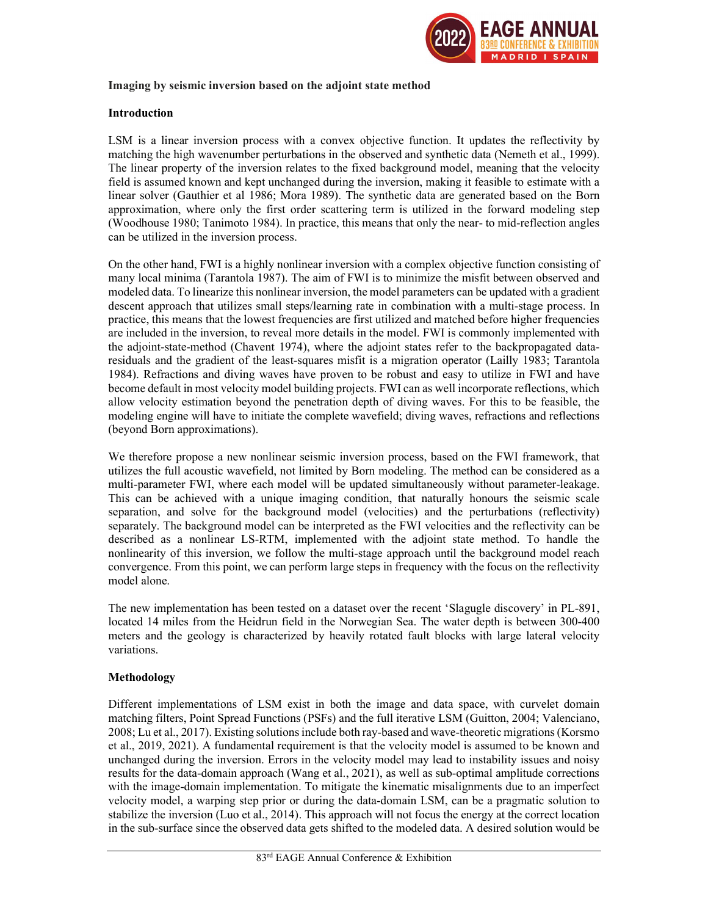

### Imaging by seismic inversion based on the adjoint state method

#### Introduction

LSM is a linear inversion process with a convex objective function. It updates the reflectivity by matching the high wavenumber perturbations in the observed and synthetic data (Nemeth et al., 1999). The linear property of the inversion relates to the fixed background model, meaning that the velocity field is assumed known and kept unchanged during the inversion, making it feasible to estimate with a linear solver (Gauthier et al 1986; Mora 1989). The synthetic data are generated based on the Born approximation, where only the first order scattering term is utilized in the forward modeling step (Woodhouse 1980; Tanimoto 1984). In practice, this means that only the near- to mid-reflection angles can be utilized in the inversion process.

On the other hand, FWI is a highly nonlinear inversion with a complex objective function consisting of many local minima (Tarantola 1987). The aim of FWI is to minimize the misfit between observed and modeled data. To linearize this nonlinear inversion, the model parameters can be updated with a gradient descent approach that utilizes small steps/learning rate in combination with a multi-stage process. In practice, this means that the lowest frequencies are first utilized and matched before higher frequencies are included in the inversion, to reveal more details in the model. FWI is commonly implemented with the adjoint-state-method (Chavent 1974), where the adjoint states refer to the backpropagated dataresiduals and the gradient of the least-squares misfit is a migration operator (Lailly 1983; Tarantola 1984). Refractions and diving waves have proven to be robust and easy to utilize in FWI and have become default in most velocity model building projects. FWI can as well incorporate reflections, which allow velocity estimation beyond the penetration depth of diving waves. For this to be feasible, the modeling engine will have to initiate the complete wavefield; diving waves, refractions and reflections (beyond Born approximations).

We therefore propose a new nonlinear seismic inversion process, based on the FWI framework, that utilizes the full acoustic wavefield, not limited by Born modeling. The method can be considered as a multi-parameter FWI, where each model will be updated simultaneously without parameter-leakage. This can be achieved with a unique imaging condition, that naturally honours the seismic scale separation, and solve for the background model (velocities) and the perturbations (reflectivity) separately. The background model can be interpreted as the FWI velocities and the reflectivity can be described as a nonlinear LS-RTM, implemented with the adjoint state method. To handle the nonlinearity of this inversion, we follow the multi-stage approach until the background model reach convergence. From this point, we can perform large steps in frequency with the focus on the reflectivity model alone.

The new implementation has been tested on a dataset over the recent 'Slagugle discovery' in PL-891, located 14 miles from the Heidrun field in the Norwegian Sea. The water depth is between 300-400 meters and the geology is characterized by heavily rotated fault blocks with large lateral velocity variations.

## Methodology

Different implementations of LSM exist in both the image and data space, with curvelet domain matching filters, Point Spread Functions (PSFs) and the full iterative LSM (Guitton, 2004; Valenciano, 2008; Lu et al., 2017). Existing solutions include both ray-based and wave-theoretic migrations (Korsmo et al., 2019, 2021). A fundamental requirement is that the velocity model is assumed to be known and unchanged during the inversion. Errors in the velocity model may lead to instability issues and noisy results for the data-domain approach (Wang et al., 2021), as well as sub-optimal amplitude corrections with the image-domain implementation. To mitigate the kinematic misalignments due to an imperfect velocity model, a warping step prior or during the data-domain LSM, can be a pragmatic solution to stabilize the inversion (Luo et al., 2014). This approach will not focus the energy at the correct location in the sub-surface since the observed data gets shifted to the modeled data. A desired solution would be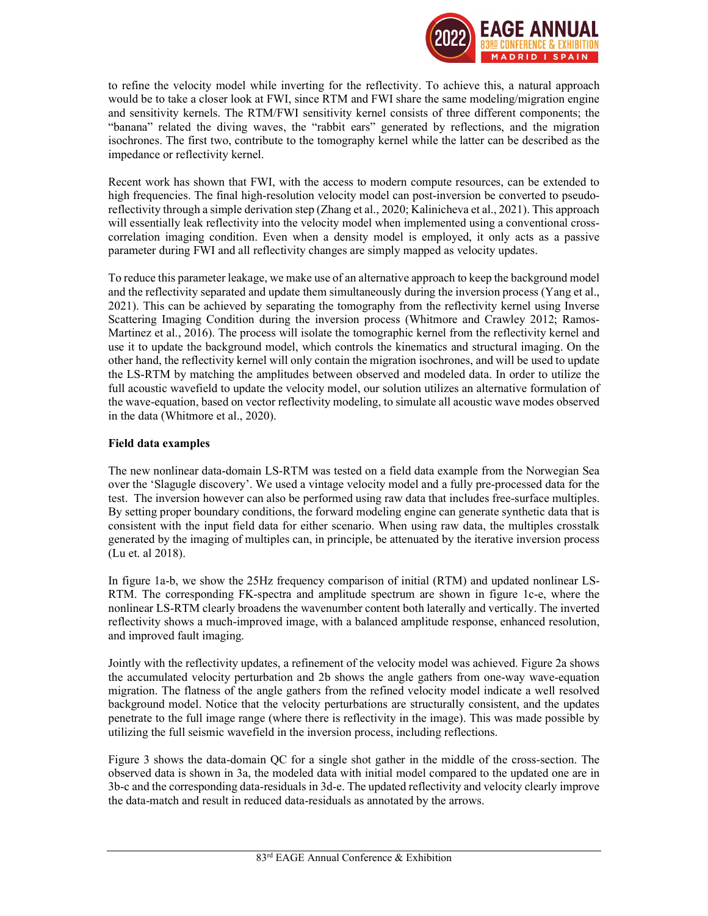

to refine the velocity model while inverting for the reflectivity. To achieve this, a natural approach would be to take a closer look at FWI, since RTM and FWI share the same modeling/migration engine and sensitivity kernels. The RTM/FWI sensitivity kernel consists of three different components; the "banana" related the diving waves, the "rabbit ears" generated by reflections, and the migration isochrones. The first two, contribute to the tomography kernel while the latter can be described as the impedance or reflectivity kernel.

Recent work has shown that FWI, with the access to modern compute resources, can be extended to high frequencies. The final high-resolution velocity model can post-inversion be converted to pseudoreflectivity through a simple derivation step (Zhang et al., 2020; Kalinicheva et al., 2021). This approach will essentially leak reflectivity into the velocity model when implemented using a conventional crosscorrelation imaging condition. Even when a density model is employed, it only acts as a passive parameter during FWI and all reflectivity changes are simply mapped as velocity updates.

To reduce this parameter leakage, we make use of an alternative approach to keep the background model and the reflectivity separated and update them simultaneously during the inversion process (Yang et al., 2021). This can be achieved by separating the tomography from the reflectivity kernel using Inverse Scattering Imaging Condition during the inversion process (Whitmore and Crawley 2012; Ramos-Martinez et al., 2016). The process will isolate the tomographic kernel from the reflectivity kernel and use it to update the background model, which controls the kinematics and structural imaging. On the other hand, the reflectivity kernel will only contain the migration isochrones, and will be used to update the LS-RTM by matching the amplitudes between observed and modeled data. In order to utilize the full acoustic wavefield to update the velocity model, our solution utilizes an alternative formulation of the wave-equation, based on vector reflectivity modeling, to simulate all acoustic wave modes observed in the data (Whitmore et al., 2020).

## Field data examples

The new nonlinear data-domain LS-RTM was tested on a field data example from the Norwegian Sea over the 'Slagugle discovery'. We used a vintage velocity model and a fully pre-processed data for the test. The inversion however can also be performed using raw data that includes free-surface multiples. By setting proper boundary conditions, the forward modeling engine can generate synthetic data that is consistent with the input field data for either scenario. When using raw data, the multiples crosstalk generated by the imaging of multiples can, in principle, be attenuated by the iterative inversion process (Lu et. al 2018).

In figure 1a-b, we show the 25Hz frequency comparison of initial (RTM) and updated nonlinear LS-RTM. The corresponding FK-spectra and amplitude spectrum are shown in figure 1c-e, where the nonlinear LS-RTM clearly broadens the wavenumber content both laterally and vertically. The inverted reflectivity shows a much-improved image, with a balanced amplitude response, enhanced resolution, and improved fault imaging.

Jointly with the reflectivity updates, a refinement of the velocity model was achieved. Figure 2a shows the accumulated velocity perturbation and 2b shows the angle gathers from one-way wave-equation migration. The flatness of the angle gathers from the refined velocity model indicate a well resolved background model. Notice that the velocity perturbations are structurally consistent, and the updates penetrate to the full image range (where there is reflectivity in the image). This was made possible by utilizing the full seismic wavefield in the inversion process, including reflections.

Figure 3 shows the data-domain QC for a single shot gather in the middle of the cross-section. The observed data is shown in 3a, the modeled data with initial model compared to the updated one are in 3b-c and the corresponding data-residuals in 3d-e. The updated reflectivity and velocity clearly improve the data-match and result in reduced data-residuals as annotated by the arrows.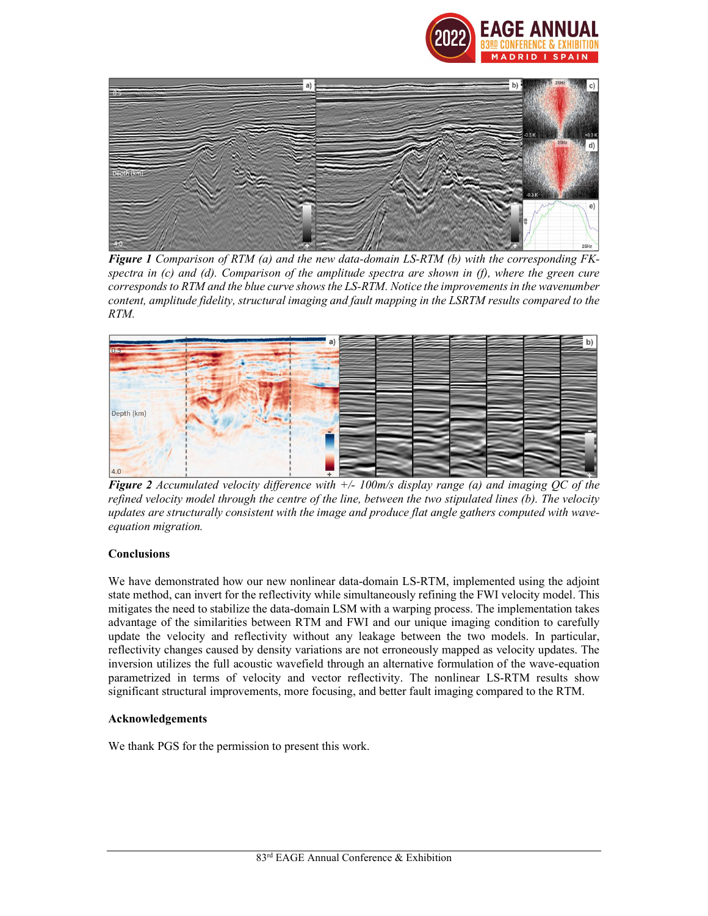



**Figure 1** Comparison of RTM (a) and the new data-domain LS-RTM (b) with the corresponding  $FK$ spectra in  $(c)$  and  $(d)$ . Comparison of the amplitude spectra are shown in  $(f)$ , where the green cure corresponds to RTM and the blue curve shows the LS-RTM. Notice the improvements in the wavenumber content, amplitude fidelity, structural imaging and fault mapping in the LSRTM results compared to the RTM.



**Figure 2** Accumulated velocity difference with  $+/- 100$ m/s display range (a) and imaging OC of the refined velocity model through the centre of the line, between the two stipulated lines (b). The velocity updates are structurally consistent with the image and produce flat angle gathers computed with waveequation migration.

## **Conclusions**

We have demonstrated how our new nonlinear data-domain LS-RTM, implemented using the adjoint state method, can invert for the reflectivity while simultaneously refining the FWI velocity model. This mitigates the need to stabilize the data-domain LSM with a warping process. The implementation takes advantage of the similarities between RTM and FWI and our unique imaging condition to carefully update the velocity and reflectivity without any leakage between the two models. In particular, reflectivity changes caused by density variations are not erroneously mapped as velocity updates. The inversion utilizes the full acoustic wavefield through an alternative formulation of the wave-equation parametrized in terms of velocity and vector reflectivity. The nonlinear LS-RTM results show significant structural improvements, more focusing, and better fault imaging compared to the RTM.

#### Acknowledgements

We thank PGS for the permission to present this work.